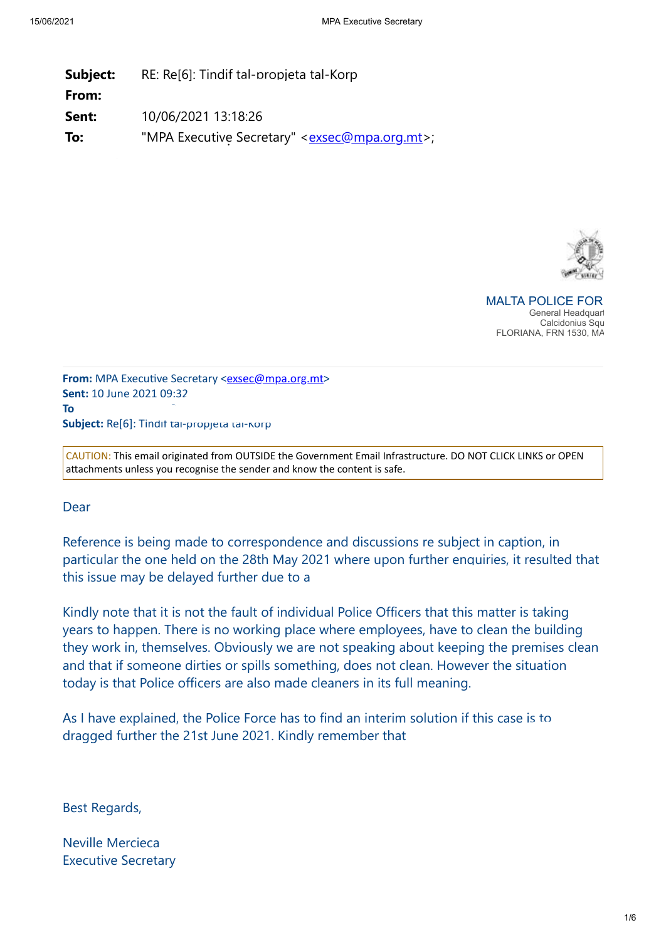| RE: Re[6]: Tindif tal-propjeta tal-Korp        |
|------------------------------------------------|
|                                                |
| 10/06/2021 13:18:26                            |
| "MPA Executive Secretary" < exsec@mpa.org.mt>; |
|                                                |



MAI TA POLICE FOR *Kindly consider your environmental responsibility before printing this e-mail* General Headquart Calcidonius Squ FLORIANA, FRN 1530, MA

**From:** MPA Executive Secretary <[exsec@mpa.org.mt](mailto:exsec@mpa.org.mt)> **Sent:** 10 June 2021 09:32 **To**: Haber Kenneth at Police  $\mathcal{L} = \mathcal{L} \mathcal{L}$ Subject: Re<sup>[6]</sup>: Tindit tal-propjeta tal-Korp

CAUTION: This email originated from OUTSIDE the Government Email Infrastructure. DO NOT CLICK LINKS or OPEN attachments unless you recognise the sender and know the content is safe.

**Dear** 

Reference is being made to correspondence and discussions re subject in caption, in particular the one held on the 28th May 2021 where upon further enquiries, it resulted that this issue may be delayed further due to a

Kindly note that it is not the fault of individual Police Officers that this matter is taking years to happen. There is no working place where employees, have to clean the building they work in, themselves. Obviously we are not speaking about keeping the premises clean and that if someone dirties or spills something, does not clean. However the situation today is that Police officers are also made cleaners in its full meaning.

As I have explained, the Police Force has to find an interim solution if this case is to dragged further the 21st June 2021. Kindly remember that

Best Regards,

Neville Mercieca Executive Secretary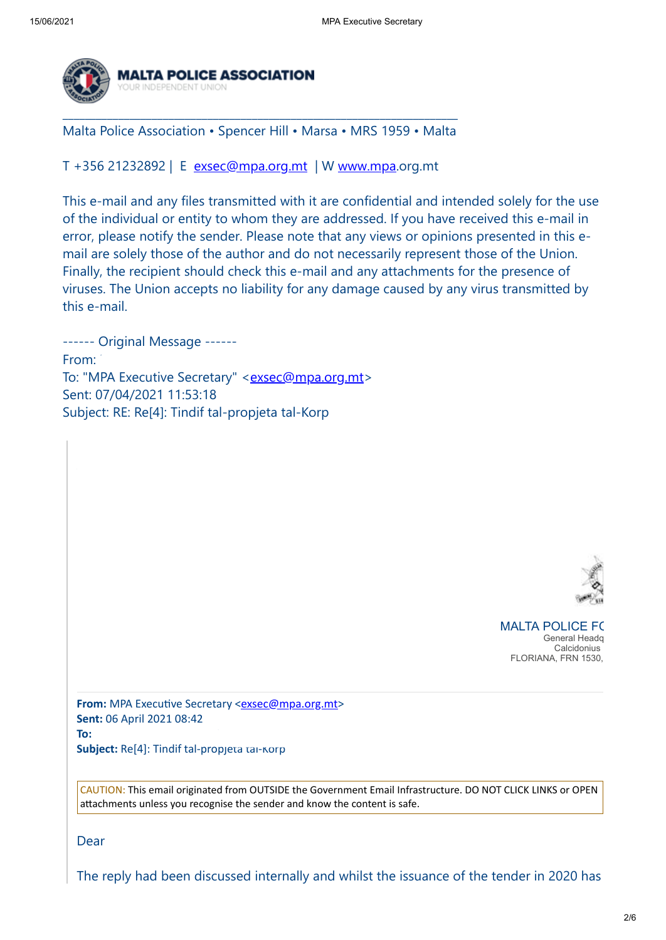

\_\_\_\_\_\_\_\_\_\_\_\_\_\_\_\_\_\_\_\_\_\_\_\_\_\_\_\_\_\_\_\_\_\_\_\_\_\_\_\_\_\_\_\_\_\_\_\_\_\_\_\_\_\_\_\_\_\_\_\_\_\_\_\_\_\_\_\_\_\_\_ Malta Police Association • Spencer Hill • Marsa • MRS 1959 • Malta

T +356 21232892 | E [exsec@mpa.org.mt](mailto:exsec@mpa.org.mt) | W [www.mpa.](https://eur01.safelinks.protection.outlook.com/?url=http%3A%2F%2Fwww.mpa%2F&data=04%7C01%7Ckenneth.haber%40gov.mt%7Ceba43592090f426183cc08d92be1c933%7C34cdd9f55db849bcacba01f65cca680d%7C0%7C0%7C637589071018539884%7CUnknown%7CTWFpbGZsb3d8eyJWIjoiMC4wLjAwMDAiLCJQIjoiV2luMzIiLCJBTiI6Ik1haWwiLCJXVCI6Mn0%3D%7C1000&sdata=MpGoHL30wvzoarKhbLRU2e3%2FFU2qLh8%2BVrzjHLnC1tE%3D&reserved=0)org.mt

This e-mail and any files transmitted with it are confidential and intended solely for the use of the individual or entity to whom they are addressed. If you have received this e-mail in error, please notify the sender. Please note that any views or opinions presented in this email are solely those of the author and do not necessarily represent those of the Union. Finally, the recipient should check this e-mail and any attachments for the presence of viruses. The Union accepts no liability for any damage caused by any virus transmitted by this e-mail.

------ Original Message ------ From: "Haber Kenneth" ("Haber Kenneth" ("Haber Kenneth" ) ("Haber Kenneth" ) ("Haber Kenneth" ) ("Haber" ) ("H To: "MPA Executive Secretary" <**[exsec@mpa.org.mt](mailto:exsec@mpa.org.mt)>** Sent: 07/04/2021 11:53:18 Subject: RE: Re[4]: Tindif tal-propjeta tal-Korp



**MALTA POLICE FOR** *Kindly consider your environmental responsibility before printing this e-mail* General Headq **Calcidonius** FLORIANA, FRN 1530,

**From:** MPA Executive Secretary <**[exsec@mpa.org.mt](mailto:exsec@mpa.org.mt)> Sent:** 06 April 2021 08:42 **To:** Haber Kenneth at Police  $\mathbb{R}$  at Police  $\mathbb{R}$  at Police  $\mathbb{R}$  at Police  $\mathbb{R}$  at Police  $\mathbb{R}$  at Police  $\mathbb{R}$  at Police  $\mathbb{R}$  at Police  $\mathbb{R}$  at Police  $\mathbb{R}$  at Police  $\mathbb{R}$  at Police  $\$ 

**Subject:** Re[4]: Tindif tal-propjeta tal-Korp

CAUTION: This email originated from OUTSIDE the Government Email Infrastructure. DO NOT CLICK LINKS or OPEN attachments unless you recognise the sender and know the content is safe.

Dear

The reply had been discussed internally and whilst the issuance of the tender in 2020 has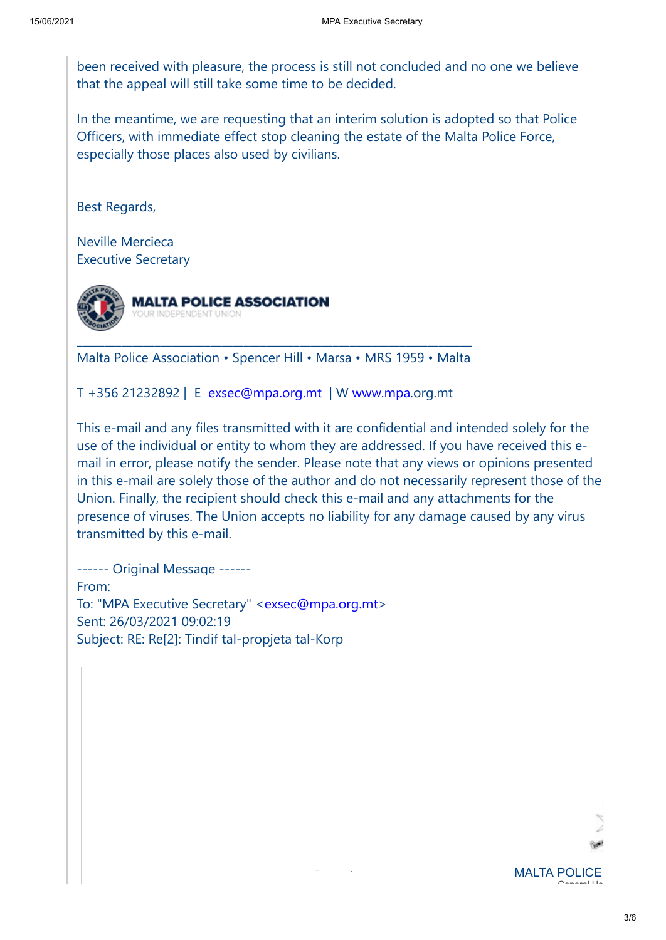been received with pleasure, the process is still not concluded and no one we believe that the appeal will still take some time to be decided.

In the meantime, we are requesting that an interim solution is adopted so that Police Officers, with immediate effect stop cleaning the estate of the Malta Police Force, especially those places also used by civilians.

Best Regards,

Neville Mercieca Executive Secretary



p y y

\_\_\_\_\_\_\_\_\_\_\_\_\_\_\_\_\_\_\_\_\_\_\_\_\_\_\_\_\_\_\_\_\_\_\_\_\_\_\_\_\_\_\_\_\_\_\_\_\_\_\_\_\_\_\_\_\_\_\_\_\_\_\_\_\_\_\_\_\_\_\_ Malta Police Association • Spencer Hill • Marsa • MRS 1959 • Malta

T +356 21232892 | E [exsec@mpa.org.mt](mailto:exsec@mpa.org.mt)  | W [www.mpa](https://eur01.safelinks.protection.outlook.com/?url=http%3A%2F%2Fwww.mpa%2F&data=04%7C01%7Ckenneth.haber%40gov.mt%7Ceba43592090f426183cc08d92be1c933%7C34cdd9f55db849bcacba01f65cca680d%7C0%7C0%7C637589071018549842%7CUnknown%7CTWFpbGZsb3d8eyJWIjoiMC4wLjAwMDAiLCJQIjoiV2luMzIiLCJBTiI6Ik1haWwiLCJXVCI6Mn0%3D%7C1000&sdata=F%2BBiud452ifRKFDIdo5AOpxKyTMakxhl34eDWyYUTAE%3D&reserved=0).org.mt

This e-mail and any files transmitted with it are confidential and intended solely for the use of the individual or entity to whom they are addressed. If you have received this email in error, please notify the sender. Please note that any views or opinions presented in this e-mail are solely those of the author and do not necessarily represent those of the Union. Finally, the recipient should check this e-mail and any attachments for the presence of viruses. The Union accepts no liability for any damage caused by any virus transmitted by this e-mail.

------ Original Message ------ From: "Haber Kenneth at Police" ("Haber Kenneth" ("Haber Kenneth" ("Haber Kenneth" ("Haber Kenneth" ("Haber Ke To: "MPA Executive Secretary" <[exsec@mpa.org.mt](mailto:exsec@mpa.org.mt)> Sent: 26/03/2021 09:02:19 Subject: RE: Re[2]: Tindif tal-propjeta tal-Korp

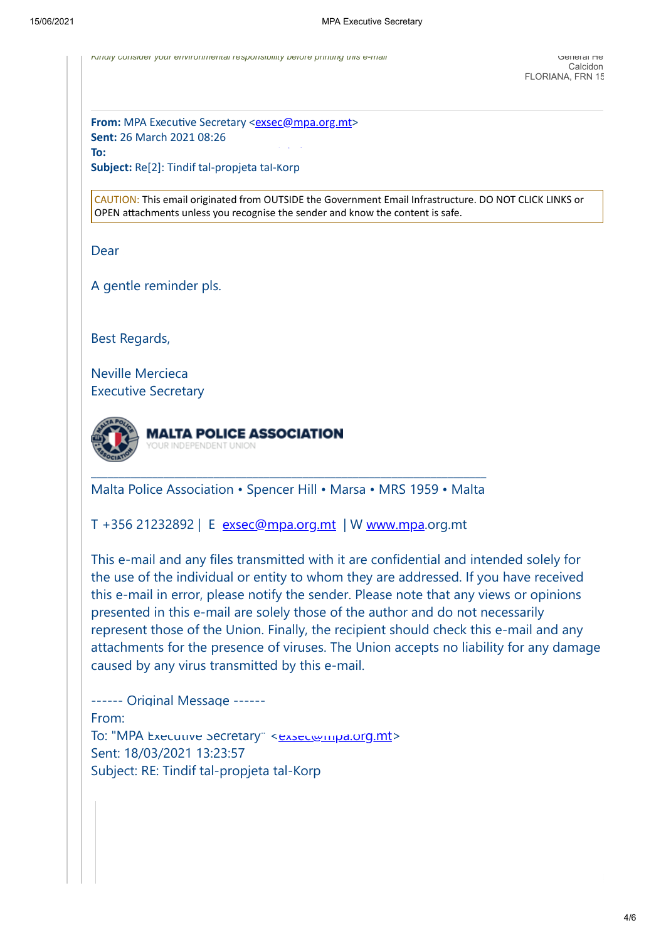*Kindly consider your environmental responsibility before printing this e-mail* General He

**From:** MPA Executive Secretary <[exsec@mpa.org.mt](mailto:exsec@mpa.org.mt)> **Sent:** 26 March 2021 08:26

**To:** Haber Kenneth at Police  $\mathbb{R}$  at Police  $\mathbb{R}$  at Police  $\mathbb{R}$  at Police  $\mathbb{R}$  at Police  $\mathbb{R}$  at Police  $\mathbb{R}$  at Police  $\mathbb{R}$  at Police  $\mathbb{R}$  at Police  $\mathbb{R}$  at Police  $\mathbb{R}$  at Police  $\$ 

**Subject:** Re[2]: Tindif tal-propjeta tal-Korp

CAUTION: This email originated from OUTSIDE the Government Email Infrastructure. DO NOT CLICK LINKS or OPEN attachments unless you recognise the sender and know the content is safe.

Dear

A gentle reminder pls.

Best Regards,

Neville Mercieca Executive Secretary



\_\_\_\_\_\_\_\_\_\_\_\_\_\_\_\_\_\_\_\_\_\_\_\_\_\_\_\_\_\_\_\_\_\_\_\_\_\_\_\_\_\_\_\_\_\_\_\_\_\_\_\_\_\_\_\_\_\_\_\_\_\_\_\_\_\_\_\_\_\_\_ Malta Police Association • Spencer Hill • Marsa • MRS 1959 • Malta

T +356 21232892 | E  [exsec@mpa.org.mt](mailto:exsec@mpa.org.mt)  | W [www.mpa](https://eur01.safelinks.protection.outlook.com/?url=http%3A%2F%2Fwww.mpa%2F&data=04%7C01%7Ckenneth.haber%40gov.mt%7Ceba43592090f426183cc08d92be1c933%7C34cdd9f55db849bcacba01f65cca680d%7C0%7C0%7C637589071018559799%7CUnknown%7CTWFpbGZsb3d8eyJWIjoiMC4wLjAwMDAiLCJQIjoiV2luMzIiLCJBTiI6Ik1haWwiLCJXVCI6Mn0%3D%7C1000&sdata=ENqbLjyyz31trbAXaRv8A%2BHol49hAyQ4e4J816J%2Bu9U%3D&reserved=0).org.mt

This e-mail and any files transmitted with it are confidential and intended solely for the use of the individual or entity to whom they are addressed. If you have received this e-mail in error, please notify the sender. Please note that any views or opinions presented in this e-mail are solely those of the author and do not necessarily represent those of the Union. Finally, the recipient should check this e-mail and any attachments for the presence of viruses. The Union accepts no liability for any damage caused by any virus transmitted by this e-mail.

------ Original Message ------ From: "Haber Kenneth" ("Haber Kenneth" ("Haber Kenneth" ) ("Haber Kenneth" ) ("Haber Kenneth" ) ("Haber Kenneth" ) ("Haber" ) ("Haber Kenneth" ) ("Haber" ) ("Haber" ) ("Haber Kenneth" ) ("Haber" ) ("Haber Kenneth" ) ("Habe To: "MPA Executive Secretary" <**Exsec@mpa.org.mt>** Sent: 18/03/2021 13:23:57 Subject: RE: Tindif tal-propjeta tal-Korp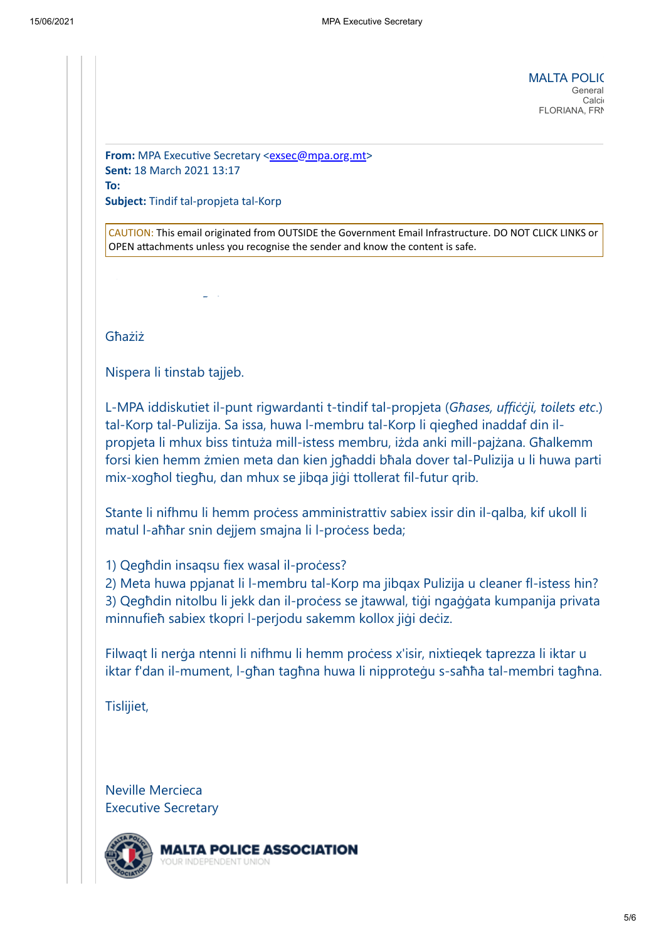**MALTA POLIC**<br>General *Kindly consider your environmental responsibility before printing this e-mail* General Calci FLORIANA, FRN

**From:** MPA Executive Secretary [<exsec@mpa.org.mt>](mailto:exsec@mpa.org.mt) **Sent:** 18 March 2021 13:17 **To:** Haber Kenneth at Police  $\mathbb{R}$  at Police  $\mathbb{R}$  at Police  $\mathbb{R}$  at Police  $\mathbb{R}$  at Police  $\mathbb{R}$  at Police  $\mathbb{R}$  at Police  $\mathbb{R}$  at Police  $\mathbb{R}$  at Police  $\mathbb{R}$  at Police  $\mathbb{R}$  at Police  $\$ **Subject:** Tindif tal-propjeta tal-Korp

CAUTION: This email originated from OUTSIDE the Government Email Infrastructure. DO NOT CLICK LINKS or OPEN attachments unless you recognise the sender and know the content is safe.

Għażiż

Nispera li tinstab tajjeb.

Liaison Officer - Police Unions

L-MPA iddiskutiet il-punt rigwardanti t-tindif tal-propjeta (*Għases, uffiċċji, toilets etc*.) tal-Korp tal-Pulizija. Sa issa, huwa l-membru tal-Korp li qiegħed inaddaf din ilpropjeta li mhux biss tintuża mill-istess membru, iżda anki mill-pajżana. Għalkemm forsi kien hemm żmien meta dan kien jgħaddi bħala dover tal-Pulizija u li huwa parti mix-xogħol tiegħu, dan mhux se jibqa jiġi ttollerat fil-futur qrib.

Stante li nifhmu li hemm process amministrattiv sabiex issir din il-qalba, kif ukoll li matul l-aħħar snin dejjem smajna li l-process beda;

1) Qeghdin insaqsu fiex wasal il-process?

2) Meta huwa ppjanat li l-membru tal-Korp ma jibqax Pulizija u cleaner fl-istess hin?

3) Qegħdin nitolbu li jekk dan il-proċess se jtawwal, tiġi ngaġġata kumpanija privata minnufieħ sabiex tkopri l-perjodu sakemm kollox jiġi deċiz.

Filwaqt li nerga ntenni li nifhmu li hemm process x'isir, nixtieqek taprezza li iktar u iktar f'dan il-mument, l-għan tagħna huwa li nipproteġu s-saħħa tal-membri tagħna.

Tislijiet,

Neville Mercieca Executive Secretary